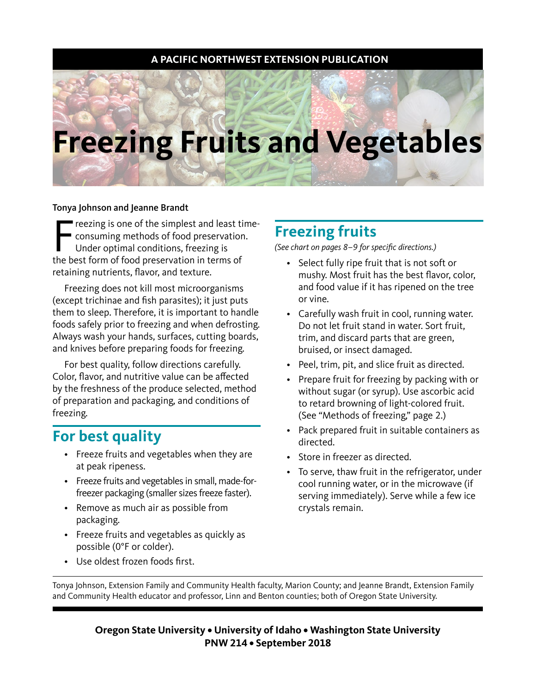### **A PACIFIC NORTHWEST EXTENSION PUBLICATION**

# **Freezing Fruits and Vegetables**

#### Tonya Johnson and Jeanne Brandt

Freezing is one of the simplest and least ti<br>
consuming methods of food preservation<br>
Under optimal conditions, freezing is<br>
the best form of food preservation in terms of reezing is one of the simplest and least timeconsuming methods of food preservation. Under optimal conditions, freezing is retaining nutrients, flavor, and texture.

Freezing does not kill most microorganisms (except trichinae and fish parasites); it just puts them to sleep. Therefore, it is important to handle foods safely prior to freezing and when defrosting. Always wash your hands, surfaces, cutting boards, and knives before preparing foods for freezing.

For best quality, follow directions carefully. Color, flavor, and nutritive value can be affected by the freshness of the produce selected, method of preparation and packaging, and conditions of freezing.

### **For best quality**

- Freeze fruits and vegetables when they are at peak ripeness.
- Freeze fruits and vegetables in small, made-forfreezer packaging (smaller sizes freeze faster).
- Remove as much air as possible from packaging.
- Freeze fruits and vegetables as quickly as possible (0°F or colder).
- Use oldest frozen foods first.

## **Freezing fruits**

(See chart on pages 8–9 for specific directions.)

- Select fully ripe fruit that is not soft or mushy. Most fruit has the best flavor, color, and food value if it has ripened on the tree or vine.
- Carefully wash fruit in cool, running water. Do not let fruit stand in water. Sort fruit, trim, and discard parts that are green, bruised, or insect damaged.
- Peel, trim, pit, and slice fruit as directed.
- Prepare fruit for freezing by packing with or without sugar (or syrup). Use ascorbic acid to retard browning of light-colored fruit. (See "Methods of freezing," page 2.)
- Pack prepared fruit in suitable containers as directed.
- Store in freezer as directed.
- To serve, thaw fruit in the refrigerator, under cool running water, or in the microwave (if serving immediately). Serve while a few ice crystals remain.

Tonya Johnson, Extension Family and Community Health faculty, Marion County; and Jeanne Brandt, Extension Family and Community Health educator and professor, Linn and Benton counties; both of Oregon State University.

> **Oregon State University • University of Idaho • Washington State University PNW 214 • September 2018**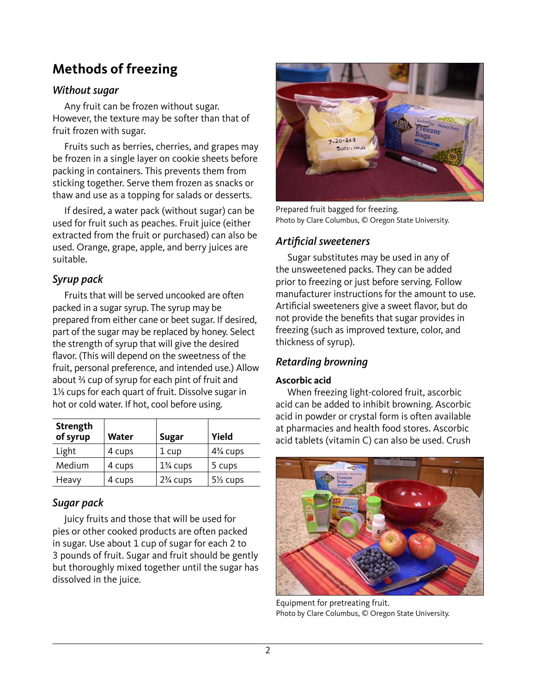# **Methods of freezing**

### *Without sugar*

Any fruit can be frozen without sugar. However, the texture may be softer than that of fruit frozen with sugar.

Fruits such as berries, cherries, and grapes may be frozen in a single layer on cookie sheets before packing in containers. This prevents them from sticking together. Serve them frozen as snacks or thaw and use as a topping for salads or desserts.

If desired, a water pack (without sugar) can be used for fruit such as peaches. Fruit juice (either extracted from the fruit or purchased) can also be used. Orange, grape, apple, and berry juices are suitable.

### *Syrup pack*

Fruits that will be served uncooked are often packed in a sugar syrup. The syrup may be prepared from either cane or beet sugar. If desired, part of the sugar may be replaced by honey. Select the strength of syrup that will give the desired flavor. (This will depend on the sweetness of the fruit, personal preference, and intended use.) Allow about ⅔ cup of syrup for each pint of fruit and 1⅓ cups for each quart of fruit. Dissolve sugar in hot or cold water. If hot, cool before using.

| <b>Strength</b><br>of syrup | <b>Water</b> | <b>Sugar</b>        | Yield                              |
|-----------------------------|--------------|---------------------|------------------------------------|
| Light                       | 4 cups       | 1 cup               | 4 <sup>3</sup> / <sub>4</sub> cups |
| Medium                      | 4 cups       | $1\%$ cups          | 5 cups                             |
| Heavy                       | 4 cups       | $2\frac{3}{4}$ cups | 5 <sup>1/2</sup> cups              |

### *Sugar pack*

Juicy fruits and those that will be used for pies or other cooked products are often packed in sugar. Use about 1 cup of sugar for each 2 to 3 pounds of fruit. Sugar and fruit should be gently but thoroughly mixed together until the sugar has dissolved in the juice.



Prepared fruit bagged for freezing. Photo by Clare Columbus, © Oregon State University.

### Artificial sweeteners

Sugar substitutes may be used in any of the unsweetened packs. They can be added prior to freezing or just before serving. Follow manufacturer instructions for the amount to use. Artificial sweeteners give a sweet flavor, but do not provide the benefits that sugar provides in freezing (such as improved texture, color, and thickness of syrup).

### Retarding browning

#### **Ascorbic acid**

When freezing light-colored fruit, ascorbic acid can be added to inhibit browning. Ascorbic acid in powder or crystal form is often available at pharmacies and health food stores. Ascorbic acid tablets (vitamin C) can also be used. Crush



Equipment for pretreating fruit. Photo by Clare Columbus, © Oregon State University.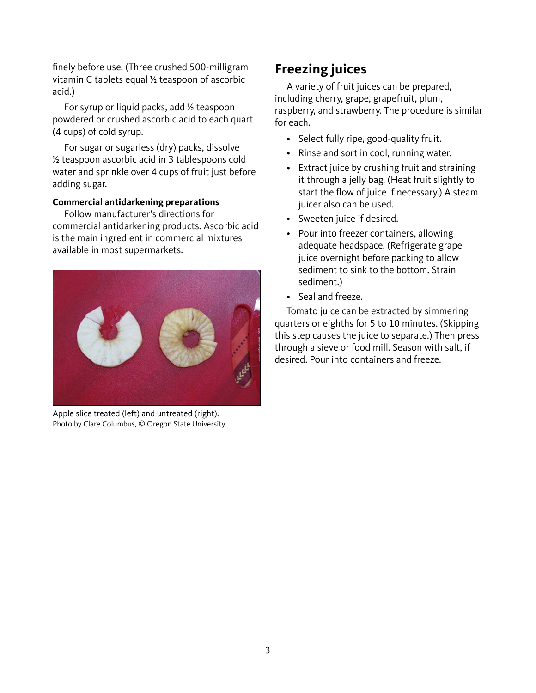finely before use. (Three crushed 500-milligram vitamin C tablets equal ½ teaspoon of ascorbic acid.)

For syrup or liquid packs, add ½ teaspoon powdered or crushed ascorbic acid to each quart (4 cups) of cold syrup.

For sugar or sugarless (dry) packs, dissolve ½ teaspoon ascorbic acid in 3 tablespoons cold water and sprinkle over 4 cups of fruit just before adding sugar.

#### **Commercial antidarkening preparations**

Follow manufacturer's directions for commercial antidarkening products. Ascorbic acid is the main ingredient in commercial mixtures available in most supermarkets.



Apple slice treated (left) and untreated (right). Photo by Clare Columbus, © Oregon State University.

### **Freezing juices**

A variety of fruit juices can be prepared, including cherry, grape, grapefruit, plum, raspberry, and strawberry. The procedure is similar for each.

- Select fully ripe, good-quality fruit.
- Rinse and sort in cool, running water.
- Extract juice by crushing fruit and straining it through a jelly bag. (Heat fruit slightly to start the flow of juice if necessary.) A steam juicer also can be used.
- Sweeten juice if desired.
- Pour into freezer containers, allowing adequate headspace. (Refrigerate grape juice overnight before packing to allow sediment to sink to the bottom. Strain sediment.)
- Seal and freeze.

Tomato juice can be extracted by simmering quarters or eighths for 5 to 10 minutes. (Skipping this step causes the juice to separate.) Then press through a sieve or food mill. Season with salt, if desired. Pour into containers and freeze.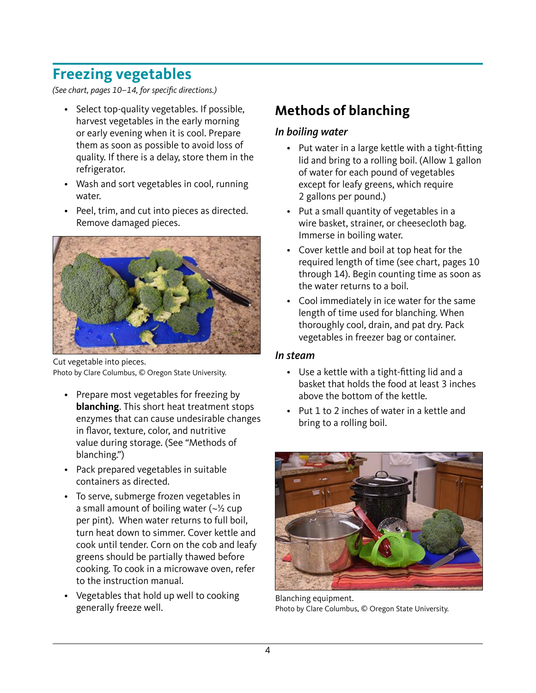# **Freezing vegetables**

(See chart, pages 10–14, for specific directions.)

- Select top-quality vegetables. If possible, harvest vegetables in the early morning or early evening when it is cool. Prepare them as soon as possible to avoid loss of quality. If there is a delay, store them in the refrigerator.
- Wash and sort vegetables in cool, running water.
- Peel, trim, and cut into pieces as directed. Remove damaged pieces.



Cut vegetable into pieces. Photo by Clare Columbus, © Oregon State University.

- Prepare most vegetables for freezing by **blanching**. This short heat treatment stops enzymes that can cause undesirable changes in flavor, texture, color, and nutritive value during storage. (See "Methods of blanching.")
- Pack prepared vegetables in suitable containers as directed.
- To serve, submerge frozen vegetables in a small amount of boiling water  $(-\frac{1}{2})$  cup per pint). When water returns to full boil, turn heat down to simmer. Cover kettle and cook until tender. Corn on the cob and leafy greens should be partially thawed before cooking. To cook in a microwave oven, refer to the instruction manual.
- Vegetables that hold up well to cooking generally freeze well.

# **Methods of blanching**

### In boiling water

- Put water in a large kettle with a tight-fitting lid and bring to a rolling boil. (Allow 1 gallon of water for each pound of vegetables except for leafy greens, which require 2 gallons per pound.)
- Put a small quantity of vegetables in a wire basket, strainer, or cheesecloth bag. Immerse in boiling water.
- Cover kettle and boil at top heat for the required length of time (see chart, pages 10 through 14). Begin counting time as soon as the water returns to a boil.
- Cool immediately in ice water for the same length of time used for blanching. When thoroughly cool, drain, and pat dry. Pack vegetables in freezer bag or container.

### In steam

- Use a kettle with a tight-fitting lid and a basket that holds the food at least 3 inches above the bottom of the kettle.
- Put 1 to 2 inches of water in a kettle and bring to a rolling boil.



Blanching equipment. Photo by Clare Columbus, © Oregon State University.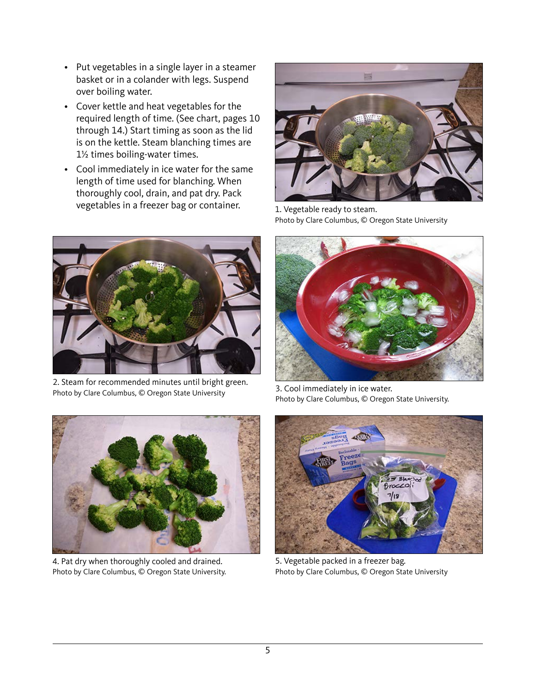- Put vegetables in a single layer in a steamer basket or in a colander with legs. Suspend over boiling water.
- Cover kettle and heat vegetables for the required length of time. (See chart, pages 10 through 14.) Start timing as soon as the lid is on the kettle. Steam blanching times are 1½ times boiling-water times.
- Cool immediately in ice water for the same length of time used for blanching. When thoroughly cool, drain, and pat dry. Pack vegetables in a freezer bag or container.



2. Steam for recommended minutes until bright green. Photo by Clare Columbus, © Oregon State University



1. Vegetable ready to steam. Photo by Clare Columbus, © Oregon State University



3. Cool immediately in ice water. Photo by Clare Columbus, © Oregon State University.



4. Pat dry when thoroughly cooled and drained. Photo by Clare Columbus, © Oregon State University.



5. Vegetable packed in a freezer bag. Photo by Clare Columbus, © Oregon State University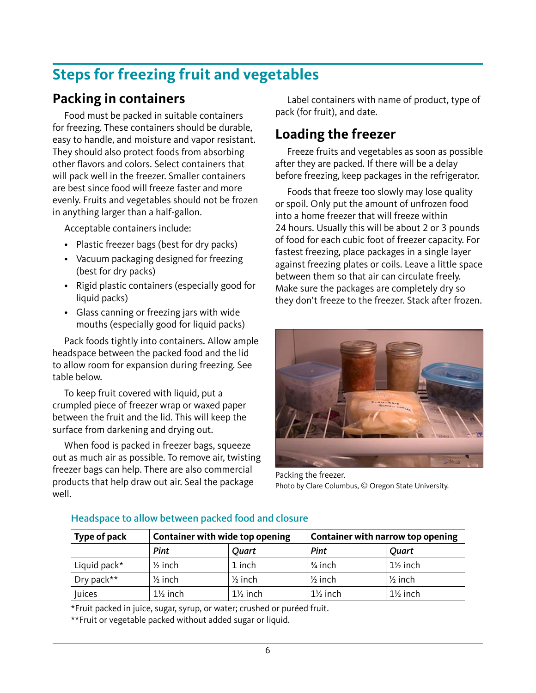# **Steps for freezing fruit and vegetables**

## **Packing in containers**

Food must be packed in suitable containers for freezing. These containers should be durable, easy to handle, and moisture and vapor resistant. They should also protect foods from absorbing other flavors and colors. Select containers that will pack well in the freezer. Smaller containers are best since food will freeze faster and more evenly. Fruits and vegetables should not be frozen in anything larger than a half-gallon.

Acceptable containers include:

- Plastic freezer bags (best for dry packs)
- Vacuum packaging designed for freezing (best for dry packs)
- Rigid plastic containers (especially good for liquid packs)
- Glass canning or freezing jars with wide mouths (especially good for liquid packs)

Pack foods tightly into containers. Allow ample headspace between the packed food and the lid to allow room for expansion during freezing. See table below.

To keep fruit covered with liquid, put a crumpled piece of freezer wrap or waxed paper between the fruit and the lid. This will keep the surface from darkening and drying out.

When food is packed in freezer bags, squeeze out as much air as possible. To remove air, twisting freezer bags can help. There are also commercial products that help draw out air. Seal the package well.

Label containers with name of product, type of pack (for fruit), and date.

## **Loading the freezer**

Freeze fruits and vegetables as soon as possible after they are packed. If there will be a delay before freezing, keep packages in the refrigerator.

Foods that freeze too slowly may lose quality or spoil. Only put the amount of unfrozen food into a home freezer that will freeze within 24 hours. Usually this will be about 2 or 3 pounds of food for each cubic foot of freezer capacity. For fastest freezing, place packages in a single layer against freezing plates or coils. Leave a little space between them so that air can circulate freely. Make sure the packages are completely dry so they don't freeze to the freezer. Stack after frozen.



Packing the freezer. Photo by Clare Columbus, © Oregon State University.

| Type of pack |                     | Container with wide top opening |                     | Container with narrow top opening |  |
|--------------|---------------------|---------------------------------|---------------------|-----------------------------------|--|
|              | <b>Pint</b>         | Quart                           | Pint                | Quart                             |  |
| Liquid pack* | $\frac{1}{2}$ inch  | 1 inch                          | $\frac{3}{4}$ inch  | $1\frac{1}{2}$ inch               |  |
| Dry pack**   | $\frac{1}{2}$ inch  | $\frac{1}{2}$ inch              | $\frac{1}{2}$ inch  | ' ½ inch                          |  |
| Juices       | $1\frac{1}{2}$ inch | $1\frac{1}{2}$ inch             | $1\frac{1}{2}$ inch | $1\frac{1}{2}$ inch               |  |

#### Headspace to allow between packed food and closure

\*Fruit packed in juice, sugar, syrup, or water; crushed or puréed fruit.

\*\*Fruit or vegetable packed without added sugar or liquid.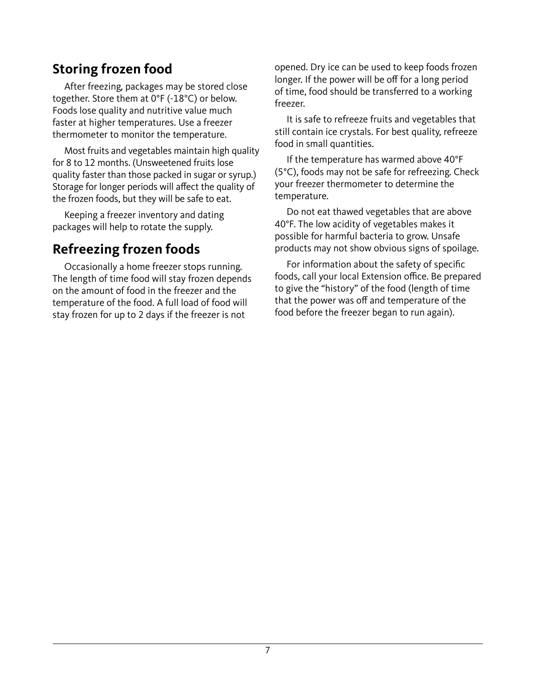# **Storing frozen food**

After freezing, packages may be stored close together. Store them at 0°F (-18°C) or below. Foods lose quality and nutritive value much faster at higher temperatures. Use a freezer thermometer to monitor the temperature.

Most fruits and vegetables maintain high quality for 8 to 12 months. (Unsweetened fruits lose quality faster than those packed in sugar or syrup.) Storage for longer periods will affect the quality of the frozen foods, but they will be safe to eat.

Keeping a freezer inventory and dating packages will help to rotate the supply.

# **Refreezing frozen foods**

Occasionally a home freezer stops running. The length of time food will stay frozen depends on the amount of food in the freezer and the temperature of the food. A full load of food will stay frozen for up to 2 days if the freezer is not

opened. Dry ice can be used to keep foods frozen longer. If the power will be off for a long period of time, food should be transferred to a working freezer.

It is safe to refreeze fruits and vegetables that still contain ice crystals. For best quality, refreeze food in small quantities.

If the temperature has warmed above 40°F (5°C), foods may not be safe for refreezing. Check your freezer thermometer to determine the temperature.

Do not eat thawed vegetables that are above 40°F. The low acidity of vegetables makes it possible for harmful bacteria to grow. Unsafe products may not show obvious signs of spoilage.

For information about the safety of specific foods, call your local Extension office. Be prepared to give the "history" of the food (length of time that the power was off and temperature of the food before the freezer began to run again).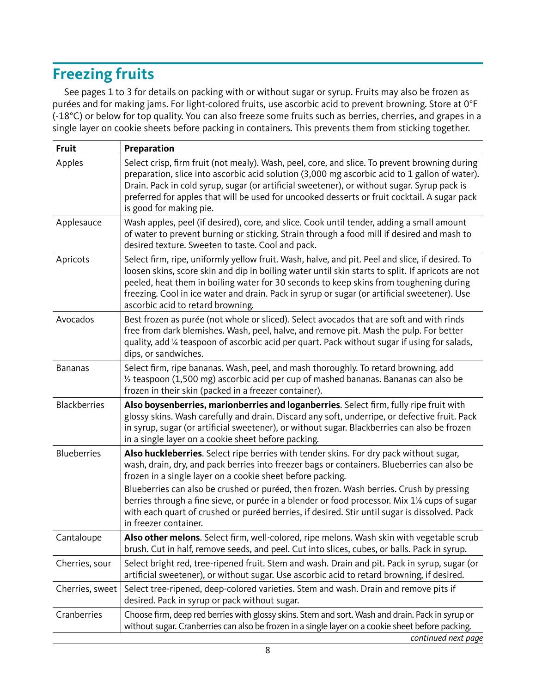# **Freezing fruits**

See pages 1 to 3 for details on packing with or without sugar or syrup. Fruits may also be frozen as purées and for making jams. For light-colored fruits, use ascorbic acid to prevent browning. Store at 0°F (-18°C) or below for top quality. You can also freeze some fruits such as berries, cherries, and grapes in a single layer on cookie sheets before packing in containers. This prevents them from sticking together.

| <b>Fruit</b>        | Preparation                                                                                                                                                                                                                                                                                                                                                                                                                                                                                                                                                                           |
|---------------------|---------------------------------------------------------------------------------------------------------------------------------------------------------------------------------------------------------------------------------------------------------------------------------------------------------------------------------------------------------------------------------------------------------------------------------------------------------------------------------------------------------------------------------------------------------------------------------------|
| Apples              | Select crisp, firm fruit (not mealy). Wash, peel, core, and slice. To prevent browning during<br>preparation, slice into ascorbic acid solution (3,000 mg ascorbic acid to 1 gallon of water).<br>Drain. Pack in cold syrup, sugar (or artificial sweetener), or without sugar. Syrup pack is<br>preferred for apples that will be used for uncooked desserts or fruit cocktail. A sugar pack<br>is good for making pie.                                                                                                                                                              |
| Applesauce          | Wash apples, peel (if desired), core, and slice. Cook until tender, adding a small amount<br>of water to prevent burning or sticking. Strain through a food mill if desired and mash to<br>desired texture. Sweeten to taste. Cool and pack.                                                                                                                                                                                                                                                                                                                                          |
| Apricots            | Select firm, ripe, uniformly yellow fruit. Wash, halve, and pit. Peel and slice, if desired. To<br>loosen skins, score skin and dip in boiling water until skin starts to split. If apricots are not<br>peeled, heat them in boiling water for 30 seconds to keep skins from toughening during<br>freezing. Cool in ice water and drain. Pack in syrup or sugar (or artificial sweetener). Use<br>ascorbic acid to retard browning.                                                                                                                                                   |
| Avocados            | Best frozen as purée (not whole or sliced). Select avocados that are soft and with rinds<br>free from dark blemishes. Wash, peel, halve, and remove pit. Mash the pulp. For better<br>quality, add 1/4 teaspoon of ascorbic acid per quart. Pack without sugar if using for salads,<br>dips, or sandwiches.                                                                                                                                                                                                                                                                           |
| <b>Bananas</b>      | Select firm, ripe bananas. Wash, peel, and mash thoroughly. To retard browning, add<br>1/2 teaspoon (1,500 mg) ascorbic acid per cup of mashed bananas. Bananas can also be<br>frozen in their skin (packed in a freezer container).                                                                                                                                                                                                                                                                                                                                                  |
| <b>Blackberries</b> | Also boysenberries, marionberries and loganberries. Select firm, fully ripe fruit with<br>glossy skins. Wash carefully and drain. Discard any soft, underripe, or defective fruit. Pack<br>in syrup, sugar (or artificial sweetener), or without sugar. Blackberries can also be frozen<br>in a single layer on a cookie sheet before packing.                                                                                                                                                                                                                                        |
| <b>Blueberries</b>  | Also huckleberries. Select ripe berries with tender skins. For dry pack without sugar,<br>wash, drain, dry, and pack berries into freezer bags or containers. Blueberries can also be<br>frozen in a single layer on a cookie sheet before packing.<br>Blueberries can also be crushed or puréed, then frozen. Wash berries. Crush by pressing<br>berries through a fine sieve, or purée in a blender or food processor. Mix 11/ <sub>8</sub> cups of sugar<br>with each quart of crushed or puréed berries, if desired. Stir until sugar is dissolved. Pack<br>in freezer container. |
| Cantaloupe          | Also other melons. Select firm, well-colored, ripe melons. Wash skin with vegetable scrub<br>brush. Cut in half, remove seeds, and peel. Cut into slices, cubes, or balls. Pack in syrup.                                                                                                                                                                                                                                                                                                                                                                                             |
| Cherries, sour      | Select bright red, tree-ripened fruit. Stem and wash. Drain and pit. Pack in syrup, sugar (or<br>artificial sweetener), or without sugar. Use ascorbic acid to retard browning, if desired.                                                                                                                                                                                                                                                                                                                                                                                           |
| Cherries, sweet     | Select tree-ripened, deep-colored varieties. Stem and wash. Drain and remove pits if<br>desired. Pack in syrup or pack without sugar.                                                                                                                                                                                                                                                                                                                                                                                                                                                 |
| Cranberries         | Choose firm, deep red berries with glossy skins. Stem and sort. Wash and drain. Pack in syrup or<br>without sugar. Cranberries can also be frozen in a single layer on a cookie sheet before packing.                                                                                                                                                                                                                                                                                                                                                                                 |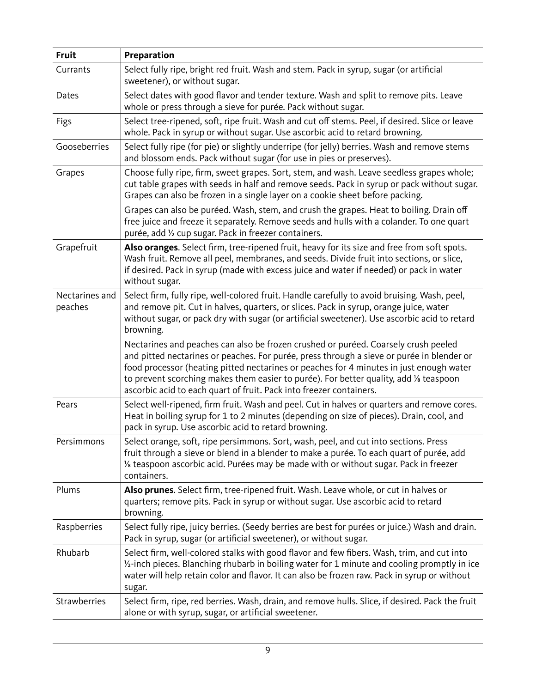| Fruit                     | Preparation                                                                                                                                                                                                                                                                                                                                                                                                                                 |  |  |
|---------------------------|---------------------------------------------------------------------------------------------------------------------------------------------------------------------------------------------------------------------------------------------------------------------------------------------------------------------------------------------------------------------------------------------------------------------------------------------|--|--|
| Currants                  | Select fully ripe, bright red fruit. Wash and stem. Pack in syrup, sugar (or artificial<br>sweetener), or without sugar.                                                                                                                                                                                                                                                                                                                    |  |  |
| Dates                     | Select dates with good flavor and tender texture. Wash and split to remove pits. Leave<br>whole or press through a sieve for purée. Pack without sugar.                                                                                                                                                                                                                                                                                     |  |  |
| Figs                      | Select tree-ripened, soft, ripe fruit. Wash and cut off stems. Peel, if desired. Slice or leave<br>whole. Pack in syrup or without sugar. Use ascorbic acid to retard browning.                                                                                                                                                                                                                                                             |  |  |
| Gooseberries              | Select fully ripe (for pie) or slightly underripe (for jelly) berries. Wash and remove stems<br>and blossom ends. Pack without sugar (for use in pies or preserves).                                                                                                                                                                                                                                                                        |  |  |
| Grapes                    | Choose fully ripe, firm, sweet grapes. Sort, stem, and wash. Leave seedless grapes whole;<br>cut table grapes with seeds in half and remove seeds. Pack in syrup or pack without sugar.<br>Grapes can also be frozen in a single layer on a cookie sheet before packing.                                                                                                                                                                    |  |  |
|                           | Grapes can also be puréed. Wash, stem, and crush the grapes. Heat to boiling. Drain off<br>free juice and freeze it separately. Remove seeds and hulls with a colander. To one quart<br>purée, add 1/2 cup sugar. Pack in freezer containers.                                                                                                                                                                                               |  |  |
| Grapefruit                | Also oranges. Select firm, tree-ripened fruit, heavy for its size and free from soft spots.<br>Wash fruit. Remove all peel, membranes, and seeds. Divide fruit into sections, or slice,<br>if desired. Pack in syrup (made with excess juice and water if needed) or pack in water<br>without sugar.                                                                                                                                        |  |  |
| Nectarines and<br>peaches | Select firm, fully ripe, well-colored fruit. Handle carefully to avoid bruising. Wash, peel,<br>and remove pit. Cut in halves, quarters, or slices. Pack in syrup, orange juice, water<br>without sugar, or pack dry with sugar (or artificial sweetener). Use ascorbic acid to retard<br>browning.                                                                                                                                         |  |  |
|                           | Nectarines and peaches can also be frozen crushed or puréed. Coarsely crush peeled<br>and pitted nectarines or peaches. For purée, press through a sieve or purée in blender or<br>food processor (heating pitted nectarines or peaches for 4 minutes in just enough water<br>to prevent scorching makes them easier to purée). For better quality, add 1/8 teaspoon<br>ascorbic acid to each quart of fruit. Pack into freezer containers. |  |  |
| Pears                     | Select well-ripened, firm fruit. Wash and peel. Cut in halves or quarters and remove cores.<br>Heat in boiling syrup for 1 to 2 minutes (depending on size of pieces). Drain, cool, and<br>pack in syrup. Use ascorbic acid to retard browning.                                                                                                                                                                                             |  |  |
| Persimmons                | Select orange, soft, ripe persimmons. Sort, wash, peel, and cut into sections. Press<br>fruit through a sieve or blend in a blender to make a purée. To each quart of purée, add<br>1/ <sub>2</sub> teaspoon ascorbic acid. Purées may be made with or without sugar. Pack in freezer<br>containers.                                                                                                                                        |  |  |
| Plums                     | Also prunes. Select firm, tree-ripened fruit. Wash. Leave whole, or cut in halves or<br>quarters; remove pits. Pack in syrup or without sugar. Use ascorbic acid to retard<br>browning.                                                                                                                                                                                                                                                     |  |  |
| Raspberries               | Select fully ripe, juicy berries. (Seedy berries are best for purées or juice.) Wash and drain.<br>Pack in syrup, sugar (or artificial sweetener), or without sugar.                                                                                                                                                                                                                                                                        |  |  |
| Rhubarb                   | Select firm, well-colored stalks with good flavor and few fibers. Wash, trim, and cut into<br>1/2-inch pieces. Blanching rhubarb in boiling water for 1 minute and cooling promptly in ice<br>water will help retain color and flavor. It can also be frozen raw. Pack in syrup or without<br>sugar.                                                                                                                                        |  |  |
| Strawberries              | Select firm, ripe, red berries. Wash, drain, and remove hulls. Slice, if desired. Pack the fruit<br>alone or with syrup, sugar, or artificial sweetener.                                                                                                                                                                                                                                                                                    |  |  |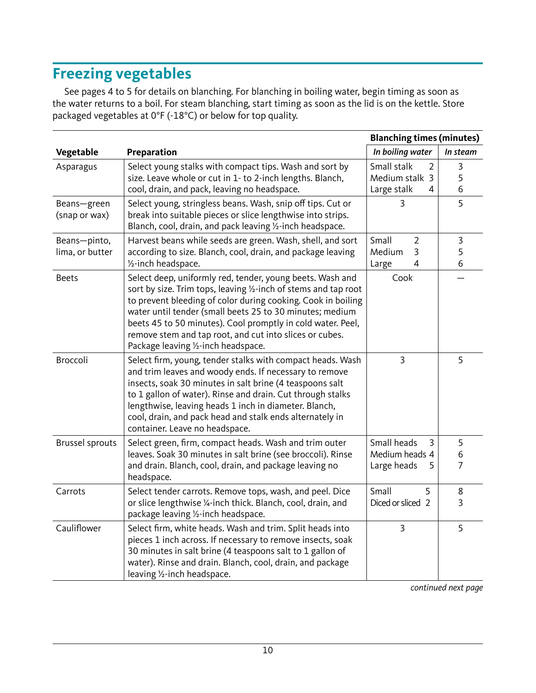# **Freezing vegetables**

See pages 4 to 5 for details on blanching. For blanching in boiling water, begin timing as soon as the water returns to a boil. For steam blanching, start timing as soon as the lid is on the kettle. Store packaged vegetables at 0°F (-18°C) or below for top quality.

|                              | <b>Blanching times (minutes)</b>                                                                                                                                                                                                                                                                                                                                                                                          |                                                        |                          |
|------------------------------|---------------------------------------------------------------------------------------------------------------------------------------------------------------------------------------------------------------------------------------------------------------------------------------------------------------------------------------------------------------------------------------------------------------------------|--------------------------------------------------------|--------------------------|
| Vegetable                    | Preparation                                                                                                                                                                                                                                                                                                                                                                                                               | In boiling water                                       | In steam                 |
| Asparagus                    | Select young stalks with compact tips. Wash and sort by                                                                                                                                                                                                                                                                                                                                                                   | Small stalk<br>2                                       | 3                        |
|                              | size. Leave whole or cut in 1- to 2-inch lengths. Blanch,                                                                                                                                                                                                                                                                                                                                                                 | Medium stalk 3                                         | 5                        |
|                              | cool, drain, and pack, leaving no headspace.                                                                                                                                                                                                                                                                                                                                                                              | Large stalk<br>4                                       | 6                        |
| Beans-green<br>(snap or wax) | Select young, stringless beans. Wash, snip off tips. Cut or<br>break into suitable pieces or slice lengthwise into strips.<br>Blanch, cool, drain, and pack leaving 1/2-inch headspace.                                                                                                                                                                                                                                   | 3                                                      | 5                        |
| Beans-pinto,                 | Harvest beans while seeds are green. Wash, shell, and sort                                                                                                                                                                                                                                                                                                                                                                | Small<br>$\overline{2}$                                | 3                        |
| lima, or butter              | according to size. Blanch, cool, drain, and package leaving                                                                                                                                                                                                                                                                                                                                                               | Medium<br>3                                            | 5                        |
|                              | 1/ <sub>2</sub> -inch headspace.                                                                                                                                                                                                                                                                                                                                                                                          | $\overline{4}$<br>Large                                | 6                        |
| <b>Beets</b>                 | Select deep, uniformly red, tender, young beets. Wash and<br>sort by size. Trim tops, leaving 1/2-inch of stems and tap root<br>to prevent bleeding of color during cooking. Cook in boiling<br>water until tender (small beets 25 to 30 minutes; medium<br>beets 45 to 50 minutes). Cool promptly in cold water. Peel,<br>remove stem and tap root, and cut into slices or cubes.<br>Package leaving 1/2-inch headspace. | Cook                                                   |                          |
| Broccoli                     | Select firm, young, tender stalks with compact heads. Wash<br>and trim leaves and woody ends. If necessary to remove<br>insects, soak 30 minutes in salt brine (4 teaspoons salt<br>to 1 gallon of water). Rinse and drain. Cut through stalks<br>lengthwise, leaving heads 1 inch in diameter. Blanch,<br>cool, drain, and pack head and stalk ends alternately in<br>container. Leave no headspace.                     | $\overline{3}$                                         | 5                        |
| <b>Brussel sprouts</b>       | Select green, firm, compact heads. Wash and trim outer<br>leaves. Soak 30 minutes in salt brine (see broccoli). Rinse<br>and drain. Blanch, cool, drain, and package leaving no<br>headspace.                                                                                                                                                                                                                             | Small heads<br>3<br>Medium heads 4<br>Large heads<br>5 | 5<br>6<br>$\overline{7}$ |
| Carrots                      | Select tender carrots. Remove tops, wash, and peel. Dice                                                                                                                                                                                                                                                                                                                                                                  | Small<br>5                                             | 8                        |
|                              | or slice lengthwise 1/4-inch thick. Blanch, cool, drain, and<br>package leaving 1/2-inch headspace.                                                                                                                                                                                                                                                                                                                       | Diced or sliced 2                                      | 3                        |
| Cauliflower                  | Select firm, white heads. Wash and trim. Split heads into<br>pieces 1 inch across. If necessary to remove insects, soak<br>30 minutes in salt brine (4 teaspoons salt to 1 gallon of<br>water). Rinse and drain. Blanch, cool, drain, and package<br>leaving 1/2-inch headspace.                                                                                                                                          | $\overline{3}$                                         | 5                        |

continued next page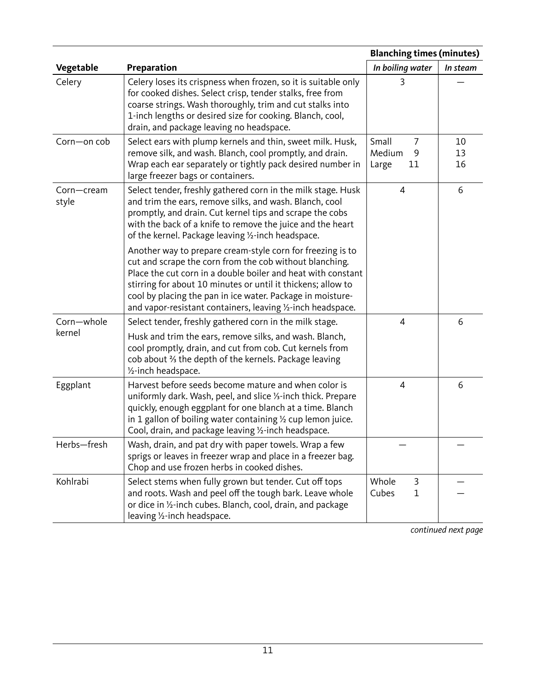|                      |                                                                                                                                                                                                                                                                                                                                                                                    | <b>Blanching times (minutes)</b>         |                |
|----------------------|------------------------------------------------------------------------------------------------------------------------------------------------------------------------------------------------------------------------------------------------------------------------------------------------------------------------------------------------------------------------------------|------------------------------------------|----------------|
| Vegetable            | Preparation                                                                                                                                                                                                                                                                                                                                                                        | In boiling water                         | In steam       |
| Celery               | Celery loses its crispness when frozen, so it is suitable only<br>for cooked dishes. Select crisp, tender stalks, free from<br>coarse strings. Wash thoroughly, trim and cut stalks into<br>1-inch lengths or desired size for cooking. Blanch, cool,<br>drain, and package leaving no headspace.                                                                                  | 3                                        |                |
| Corn-on cob          | Select ears with plump kernels and thin, sweet milk. Husk,<br>remove silk, and wash. Blanch, cool promptly, and drain.<br>Wrap each ear separately or tightly pack desired number in<br>large freezer bags or containers.                                                                                                                                                          | Small<br>7<br>Medium<br>9<br>11<br>Large | 10<br>13<br>16 |
| Corn-cream<br>style  | Select tender, freshly gathered corn in the milk stage. Husk<br>and trim the ears, remove silks, and wash. Blanch, cool<br>promptly, and drain. Cut kernel tips and scrape the cobs<br>with the back of a knife to remove the juice and the heart<br>of the kernel. Package leaving 1/2-inch headspace.                                                                            | $\overline{4}$                           | 6              |
|                      | Another way to prepare cream-style corn for freezing is to<br>cut and scrape the corn from the cob without blanching.<br>Place the cut corn in a double boiler and heat with constant<br>stirring for about 10 minutes or until it thickens; allow to<br>cool by placing the pan in ice water. Package in moisture-<br>and vapor-resistant containers, leaving 1/2-inch headspace. |                                          |                |
| Corn-whole<br>kernel | Select tender, freshly gathered corn in the milk stage.<br>Husk and trim the ears, remove silks, and wash. Blanch,<br>cool promptly, drain, and cut from cob. Cut kernels from<br>cob about 3 the depth of the kernels. Package leaving<br>1/ <sub>2</sub> -inch headspace.                                                                                                        | $\overline{4}$                           | 6              |
| Eggplant             | Harvest before seeds become mature and when color is<br>uniformly dark. Wash, peel, and slice 1/3-inch thick. Prepare<br>quickly, enough eggplant for one blanch at a time. Blanch<br>in 1 gallon of boiling water containing $\frac{1}{2}$ cup lemon juice.<br>Cool, drain, and package leaving 1/2-inch headspace.                                                               | $\overline{4}$                           | 6              |
| Herbs-fresh          | Wash, drain, and pat dry with paper towels. Wrap a few<br>sprigs or leaves in freezer wrap and place in a freezer bag.<br>Chop and use frozen herbs in cooked dishes.                                                                                                                                                                                                              |                                          |                |
| Kohlrabi             | Select stems when fully grown but tender. Cut off tops<br>and roots. Wash and peel off the tough bark. Leave whole<br>or dice in 1/2-inch cubes. Blanch, cool, drain, and package<br>leaving 1/2-inch headspace.                                                                                                                                                                   | Whole<br>3<br>Cubes<br>$\mathbf{1}$      |                |

continued next page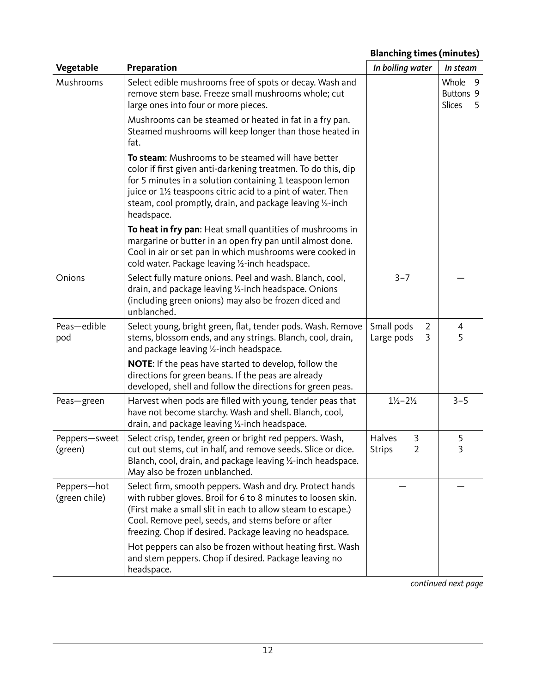|                              |                                                                                                                                                                                                                                                                                                                                                                          | <b>Blanching times (minutes)</b>               |                                                |
|------------------------------|--------------------------------------------------------------------------------------------------------------------------------------------------------------------------------------------------------------------------------------------------------------------------------------------------------------------------------------------------------------------------|------------------------------------------------|------------------------------------------------|
| Vegetable                    | Preparation                                                                                                                                                                                                                                                                                                                                                              | In boiling water                               | In steam                                       |
| Mushrooms                    | Select edible mushrooms free of spots or decay. Wash and<br>remove stem base. Freeze small mushrooms whole; cut<br>large ones into four or more pieces.                                                                                                                                                                                                                  |                                                | Whole<br>-9<br>Buttons 9<br><b>Slices</b><br>5 |
|                              | Mushrooms can be steamed or heated in fat in a fry pan.<br>Steamed mushrooms will keep longer than those heated in<br>fat.                                                                                                                                                                                                                                               |                                                |                                                |
|                              | To steam: Mushrooms to be steamed will have better<br>color if first given anti-darkening treatmen. To do this, dip<br>for 5 minutes in a solution containing 1 teaspoon lemon<br>juice or 1½ teaspoons citric acid to a pint of water. Then<br>steam, cool promptly, drain, and package leaving 1/2-inch<br>headspace.                                                  |                                                |                                                |
|                              | To heat in fry pan: Heat small quantities of mushrooms in<br>margarine or butter in an open fry pan until almost done.<br>Cool in air or set pan in which mushrooms were cooked in<br>cold water. Package leaving 1/2-inch headspace.                                                                                                                                    |                                                |                                                |
| Onions                       | Select fully mature onions. Peel and wash. Blanch, cool,<br>drain, and package leaving 1/2-inch headspace. Onions<br>(including green onions) may also be frozen diced and<br>unblanched.                                                                                                                                                                                | $3 - 7$                                        |                                                |
| Peas-edible<br>pod           | Select young, bright green, flat, tender pods. Wash. Remove<br>stems, blossom ends, and any strings. Blanch, cool, drain,<br>and package leaving 1/2-inch headspace.                                                                                                                                                                                                     | Small pods<br>2<br>Large pods<br>3             | 4<br>5                                         |
|                              | <b>NOTE:</b> If the peas have started to develop, follow the<br>directions for green beans. If the peas are already<br>developed, shell and follow the directions for green peas.                                                                                                                                                                                        |                                                |                                                |
| Peas-green                   | Harvest when pods are filled with young, tender peas that<br>have not become starchy. Wash and shell. Blanch, cool,<br>drain, and package leaving 1/2-inch headspace.                                                                                                                                                                                                    | $1\frac{1}{2} - 2\frac{1}{2}$                  | $3 - 5$                                        |
| Peppers-sweet<br>(green)     | Select crisp, tender, green or bright red peppers. Wash,<br>cut out stems, cut in half, and remove seeds. Slice or dice.<br>Blanch, cool, drain, and package leaving 1/2-inch headspace.<br>May also be frozen unblanched.                                                                                                                                               | Halves<br>3<br>$\overline{2}$<br><b>Strips</b> | 5<br>3                                         |
| Peppers-hot<br>(green chile) | Select firm, smooth peppers. Wash and dry. Protect hands<br>with rubber gloves. Broil for 6 to 8 minutes to loosen skin.<br>(First make a small slit in each to allow steam to escape.)<br>Cool. Remove peel, seeds, and stems before or after<br>freezing. Chop if desired. Package leaving no headspace.<br>Hot peppers can also be frozen without heating first. Wash |                                                |                                                |
|                              | and stem peppers. Chop if desired. Package leaving no<br>headspace.                                                                                                                                                                                                                                                                                                      |                                                |                                                |

continued next page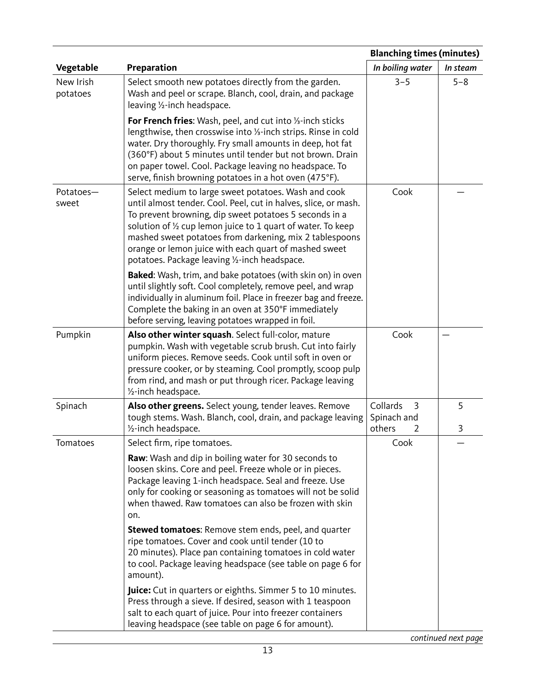|                       | <b>Blanching times (minutes)</b>                                                                                                                                                                                                                                                                                                                                                                                       |                                             |          |
|-----------------------|------------------------------------------------------------------------------------------------------------------------------------------------------------------------------------------------------------------------------------------------------------------------------------------------------------------------------------------------------------------------------------------------------------------------|---------------------------------------------|----------|
| Vegetable             | Preparation                                                                                                                                                                                                                                                                                                                                                                                                            | In boiling water                            | In steam |
| New Irish<br>potatoes | Select smooth new potatoes directly from the garden.<br>Wash and peel or scrape. Blanch, cool, drain, and package<br>leaving 1/2-inch headspace.                                                                                                                                                                                                                                                                       | $3 - 5$                                     | $5 - 8$  |
|                       | For French fries: Wash, peel, and cut into 1/3-inch sticks<br>lengthwise, then crosswise into 1/3-inch strips. Rinse in cold<br>water. Dry thoroughly. Fry small amounts in deep, hot fat<br>(360°F) about 5 minutes until tender but not brown. Drain<br>on paper towel. Cool. Package leaving no headspace. To<br>serve, finish browning potatoes in a hot oven (475°F).                                             |                                             |          |
| Potatoes-<br>sweet    | Select medium to large sweet potatoes. Wash and cook<br>until almost tender. Cool. Peel, cut in halves, slice, or mash.<br>To prevent browning, dip sweet potatoes 5 seconds in a<br>solution of 1/2 cup lemon juice to 1 quart of water. To keep<br>mashed sweet potatoes from darkening, mix 2 tablespoons<br>orange or lemon juice with each quart of mashed sweet<br>potatoes. Package leaving 1/2-inch headspace. | Cook                                        |          |
|                       | Baked: Wash, trim, and bake potatoes (with skin on) in oven<br>until slightly soft. Cool completely, remove peel, and wrap<br>individually in aluminum foil. Place in freezer bag and freeze.<br>Complete the baking in an oven at 350°F immediately<br>before serving, leaving potatoes wrapped in foil.                                                                                                              |                                             |          |
| Pumpkin               | Also other winter squash. Select full-color, mature<br>pumpkin. Wash with vegetable scrub brush. Cut into fairly<br>uniform pieces. Remove seeds. Cook until soft in oven or<br>pressure cooker, or by steaming. Cool promptly, scoop pulp<br>from rind, and mash or put through ricer. Package leaving<br>1/ <sub>2</sub> -inch headspace.                                                                            | Cook                                        |          |
| Spinach               | Also other greens. Select young, tender leaves. Remove<br>tough stems. Wash. Blanch, cool, drain, and package leaving<br>1/ <sub>2</sub> -inch headspace.                                                                                                                                                                                                                                                              | Collards<br>3<br>Spinach and<br>others<br>2 | 5<br>3   |
| Tomatoes              | Select firm, ripe tomatoes.                                                                                                                                                                                                                                                                                                                                                                                            | Cook                                        |          |
|                       | <b>Raw:</b> Wash and dip in boiling water for 30 seconds to<br>loosen skins. Core and peel. Freeze whole or in pieces.<br>Package leaving 1-inch headspace. Seal and freeze. Use<br>only for cooking or seasoning as tomatoes will not be solid<br>when thawed. Raw tomatoes can also be frozen with skin<br>on.                                                                                                       |                                             |          |
|                       | <b>Stewed tomatoes:</b> Remove stem ends, peel, and quarter<br>ripe tomatoes. Cover and cook until tender (10 to<br>20 minutes). Place pan containing tomatoes in cold water<br>to cool. Package leaving headspace (see table on page 6 for<br>amount).                                                                                                                                                                |                                             |          |
|                       | Juice: Cut in quarters or eighths. Simmer 5 to 10 minutes.<br>Press through a sieve. If desired, season with 1 teaspoon<br>salt to each quart of juice. Pour into freezer containers<br>leaving headspace (see table on page 6 for amount).                                                                                                                                                                            |                                             |          |